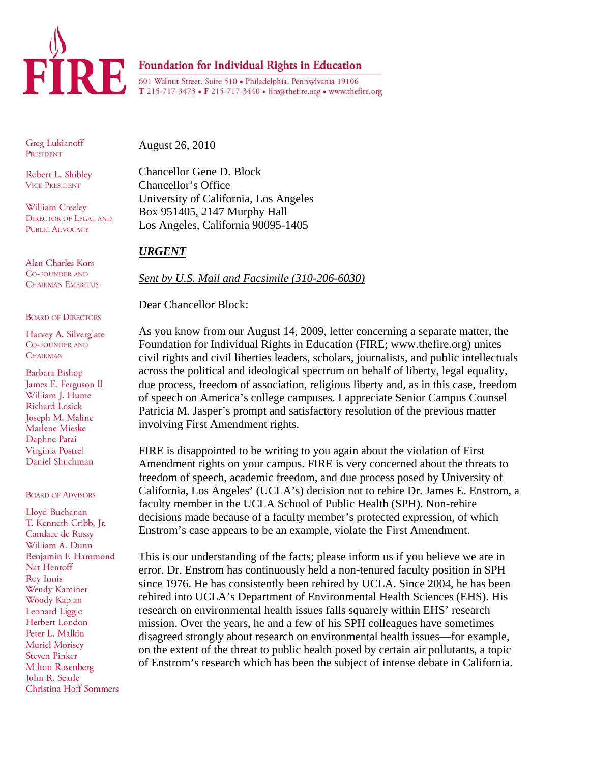

Greg Lukianoff PRESIDENT

Robert L. Shibley **VICE PRESIDENT** 

William Creeley **DIRECTOR OF LEGAL AND PUBLIC ADVOCACY** 

Alan Charles Kors **CO-FOUNDER AND CHAIRMAN EMERITUS** 

## **BOARD OF DIRECTORS**

Harvey A. Silverglate **CO-FOUNDER AND CHAIRMAN** 

Barbara Bishop James E. Ferguson II William J. Hume **Richard Losick** Joseph M. Maline Marlene Mieske Daphne Patai Virginia Postrel Daniel Shuchman

## **BOARD OF ADVISORS**

Lloyd Buchanan T. Kenneth Cribb, Jr. Candace de Russy William A. Dunn Benjamin F. Hammond Nat Hentoff **Roy Innis** Wendy Kaminer Woody Kaplan Leonard Liggio Herbert London Peter L. Malkin **Muriel Morisey Steven Pinker** Milton Rosenberg John R. Searle **Christina Hoff Sommers**  August 26, 2010

Chancellor Gene D. Block Chancellor's Office University of California, Los Angeles Box 951405, 2147 Murphy Hall Los Angeles, California 90095-1405

## *URGENT*

*Sent by U.S. Mail and Facsimile (310-206-6030)*

T 215-717-3473 • F 215-717-3440 • fire@thefire.org • www.thefire.org

Dear Chancellor Block:

As you know from our August 14, 2009, letter concerning a separate matter, the Foundation for Individual Rights in Education (FIRE; www.thefire.org) unites civil rights and civil liberties leaders, scholars, journalists, and public intellectuals across the political and ideological spectrum on behalf of liberty, legal equality, due process, freedom of association, religious liberty and, as in this case, freedom of speech on America's college campuses. I appreciate Senior Campus Counsel Patricia M. Jasper's prompt and satisfactory resolution of the previous matter involving First Amendment rights.

FIRE is disappointed to be writing to you again about the violation of First Amendment rights on your campus. FIRE is very concerned about the threats to freedom of speech, academic freedom, and due process posed by University of California, Los Angeles' (UCLA's) decision not to rehire Dr. James E. Enstrom, a faculty member in the UCLA School of Public Health (SPH). Non-rehire decisions made because of a faculty member's protected expression, of which Enstrom's case appears to be an example, violate the First Amendment.

This is our understanding of the facts; please inform us if you believe we are in error. Dr. Enstrom has continuously held a non-tenured faculty position in SPH since 1976. He has consistently been rehired by UCLA. Since 2004, he has been rehired into UCLA's Department of Environmental Health Sciences (EHS). His research on environmental health issues falls squarely within EHS' research mission. Over the years, he and a few of his SPH colleagues have sometimes disagreed strongly about research on environmental health issues—for example, on the extent of the threat to public health posed by certain air pollutants, a topic of Enstrom's research which has been the subject of intense debate in California.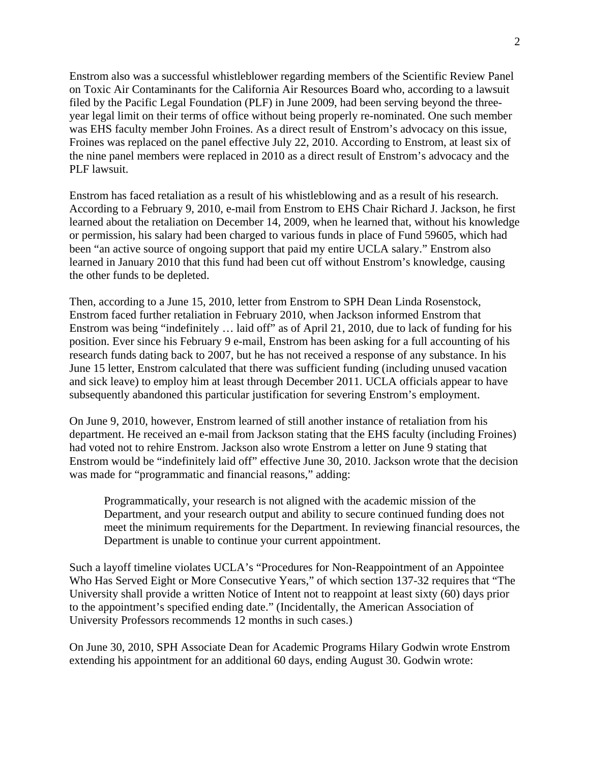Enstrom also was a successful whistleblower regarding members of the Scientific Review Panel on Toxic Air Contaminants for the California Air Resources Board who, according to a lawsuit filed by the Pacific Legal Foundation (PLF) in June 2009, had been serving beyond the threeyear legal limit on their terms of office without being properly re-nominated. One such member was EHS faculty member John Froines. As a direct result of Enstrom's advocacy on this issue, Froines was replaced on the panel effective July 22, 2010. According to Enstrom, at least six of the nine panel members were replaced in 2010 as a direct result of Enstrom's advocacy and the PLF lawsuit.

Enstrom has faced retaliation as a result of his whistleblowing and as a result of his research. According to a February 9, 2010, e-mail from Enstrom to EHS Chair Richard J. Jackson, he first learned about the retaliation on December 14, 2009, when he learned that, without his knowledge or permission, his salary had been charged to various funds in place of Fund 59605, which had been "an active source of ongoing support that paid my entire UCLA salary." Enstrom also learned in January 2010 that this fund had been cut off without Enstrom's knowledge, causing the other funds to be depleted.

Then, according to a June 15, 2010, letter from Enstrom to SPH Dean Linda Rosenstock, Enstrom faced further retaliation in February 2010, when Jackson informed Enstrom that Enstrom was being "indefinitely … laid off" as of April 21, 2010, due to lack of funding for his position. Ever since his February 9 e-mail, Enstrom has been asking for a full accounting of his research funds dating back to 2007, but he has not received a response of any substance. In his June 15 letter, Enstrom calculated that there was sufficient funding (including unused vacation and sick leave) to employ him at least through December 2011. UCLA officials appear to have subsequently abandoned this particular justification for severing Enstrom's employment.

On June 9, 2010, however, Enstrom learned of still another instance of retaliation from his department. He received an e-mail from Jackson stating that the EHS faculty (including Froines) had voted not to rehire Enstrom. Jackson also wrote Enstrom a letter on June 9 stating that Enstrom would be "indefinitely laid off" effective June 30, 2010. Jackson wrote that the decision was made for "programmatic and financial reasons," adding:

Programmatically, your research is not aligned with the academic mission of the Department, and your research output and ability to secure continued funding does not meet the minimum requirements for the Department. In reviewing financial resources, the Department is unable to continue your current appointment.

Such a layoff timeline violates UCLA's "Procedures for Non-Reappointment of an Appointee Who Has Served Eight or More Consecutive Years," of which section 137-32 requires that "The University shall provide a written Notice of Intent not to reappoint at least sixty (60) days prior to the appointment's specified ending date." (Incidentally, the American Association of University Professors recommends 12 months in such cases.)

On June 30, 2010, SPH Associate Dean for Academic Programs Hilary Godwin wrote Enstrom extending his appointment for an additional 60 days, ending August 30. Godwin wrote: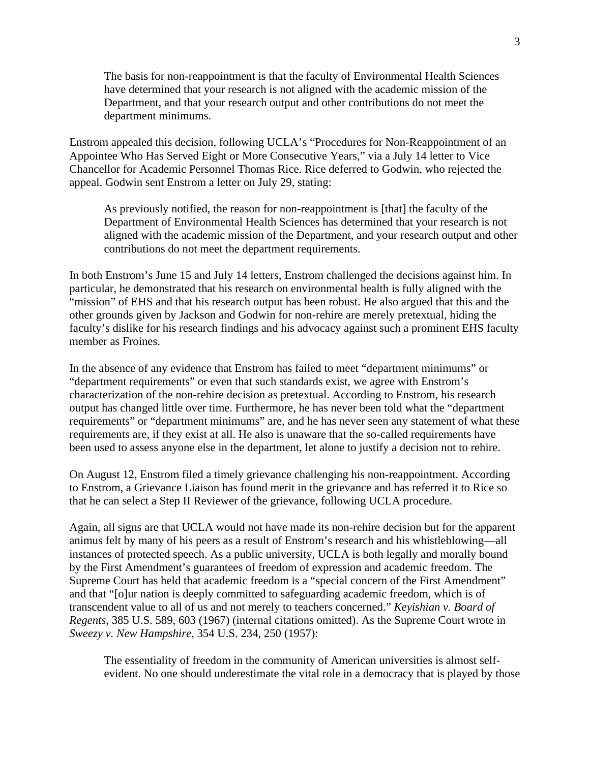The basis for non-reappointment is that the faculty of Environmental Health Sciences have determined that your research is not aligned with the academic mission of the Department, and that your research output and other contributions do not meet the department minimums.

Enstrom appealed this decision, following UCLA's "Procedures for Non-Reappointment of an Appointee Who Has Served Eight or More Consecutive Years," via a July 14 letter to Vice Chancellor for Academic Personnel Thomas Rice. Rice deferred to Godwin, who rejected the appeal. Godwin sent Enstrom a letter on July 29, stating:

As previously notified, the reason for non-reappointment is [that] the faculty of the Department of Environmental Health Sciences has determined that your research is not aligned with the academic mission of the Department, and your research output and other contributions do not meet the department requirements.

In both Enstrom's June 15 and July 14 letters, Enstrom challenged the decisions against him. In particular, he demonstrated that his research on environmental health is fully aligned with the "mission" of EHS and that his research output has been robust. He also argued that this and the other grounds given by Jackson and Godwin for non-rehire are merely pretextual, hiding the faculty's dislike for his research findings and his advocacy against such a prominent EHS faculty member as Froines.

In the absence of any evidence that Enstrom has failed to meet "department minimums" or "department requirements" or even that such standards exist, we agree with Enstrom's characterization of the non-rehire decision as pretextual. According to Enstrom, his research output has changed little over time. Furthermore, he has never been told what the "department requirements" or "department minimums" are, and he has never seen any statement of what these requirements are, if they exist at all. He also is unaware that the so-called requirements have been used to assess anyone else in the department, let alone to justify a decision not to rehire.

On August 12, Enstrom filed a timely grievance challenging his non-reappointment. According to Enstrom, a Grievance Liaison has found merit in the grievance and has referred it to Rice so that he can select a Step II Reviewer of the grievance, following UCLA procedure.

Again, all signs are that UCLA would not have made its non-rehire decision but for the apparent animus felt by many of his peers as a result of Enstrom's research and his whistleblowing—all instances of protected speech. As a public university, UCLA is both legally and morally bound by the First Amendment's guarantees of freedom of expression and academic freedom. The Supreme Court has held that academic freedom is a "special concern of the First Amendment" and that "[o]ur nation is deeply committed to safeguarding academic freedom, which is of transcendent value to all of us and not merely to teachers concerned." *Keyishian v. Board of Regents*, 385 U.S. 589, 603 (1967) (internal citations omitted). As the Supreme Court wrote in *Sweezy v. New Hampshire*, 354 U.S. 234, 250 (1957):

The essentiality of freedom in the community of American universities is almost selfevident. No one should underestimate the vital role in a democracy that is played by those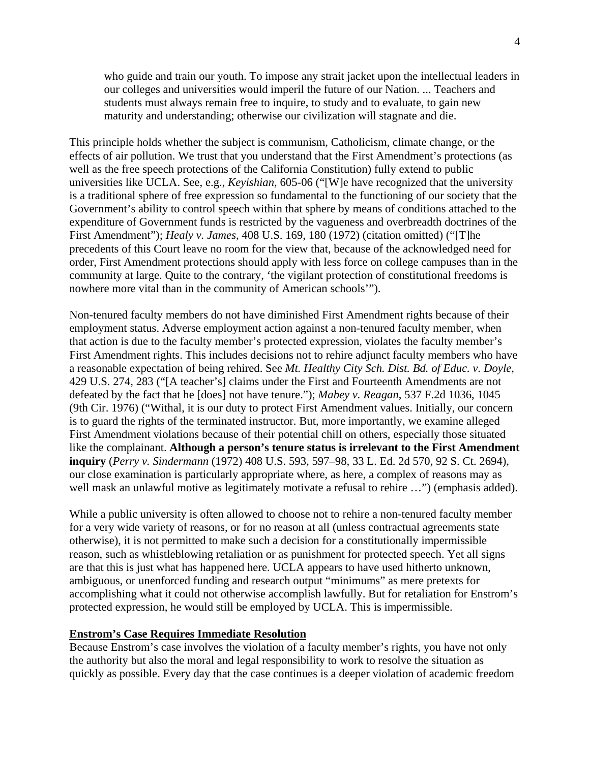who guide and train our youth. To impose any strait jacket upon the intellectual leaders in our colleges and universities would imperil the future of our Nation. ... Teachers and students must always remain free to inquire, to study and to evaluate, to gain new maturity and understanding; otherwise our civilization will stagnate and die.

This principle holds whether the subject is communism, Catholicism, climate change, or the effects of air pollution. We trust that you understand that the First Amendment's protections (as well as the free speech protections of the California Constitution) fully extend to public universities like UCLA. See, e.g., *Keyishian*, 605-06 ("[W]e have recognized that the university is a traditional sphere of free expression so fundamental to the functioning of our society that the Government's ability to control speech within that sphere by means of conditions attached to the expenditure of Government funds is restricted by the vagueness and overbreadth doctrines of the First Amendment"); *Healy v. James*, 408 U.S. 169, 180 (1972) (citation omitted) ("[T]he precedents of this Court leave no room for the view that, because of the acknowledged need for order, First Amendment protections should apply with less force on college campuses than in the community at large. Quite to the contrary, 'the vigilant protection of constitutional freedoms is nowhere more vital than in the community of American schools'").

Non-tenured faculty members do not have diminished First Amendment rights because of their employment status. Adverse employment action against a non-tenured faculty member, when that action is due to the faculty member's protected expression, violates the faculty member's First Amendment rights. This includes decisions not to rehire adjunct faculty members who have a reasonable expectation of being rehired. See *Mt. Healthy City Sch. Dist. Bd. of Educ. v. Doyle*, 429 U.S. 274, 283 ("[A teacher's] claims under the First and Fourteenth Amendments are not defeated by the fact that he [does] not have tenure."); *Mabey v. Reagan*, 537 F.2d 1036, 1045 (9th Cir. 1976) ("Withal, it is our duty to protect First Amendment values. Initially, our concern is to guard the rights of the terminated instructor. But, more importantly, we examine alleged First Amendment violations because of their potential chill on others, especially those situated like the complainant. **Although a person's tenure status is irrelevant to the First Amendment inquiry** (*Perry v. Sindermann* (1972) 408 U.S. 593, 597–98, 33 L. Ed. 2d 570, 92 S. Ct. 2694), our close examination is particularly appropriate where, as here, a complex of reasons may as well mask an unlawful motive as legitimately motivate a refusal to rehire ...") (emphasis added).

While a public university is often allowed to choose not to rehire a non-tenured faculty member for a very wide variety of reasons, or for no reason at all (unless contractual agreements state otherwise), it is not permitted to make such a decision for a constitutionally impermissible reason, such as whistleblowing retaliation or as punishment for protected speech. Yet all signs are that this is just what has happened here. UCLA appears to have used hitherto unknown, ambiguous, or unenforced funding and research output "minimums" as mere pretexts for accomplishing what it could not otherwise accomplish lawfully. But for retaliation for Enstrom's protected expression, he would still be employed by UCLA. This is impermissible.

## **Enstrom's Case Requires Immediate Resolution**

Because Enstrom's case involves the violation of a faculty member's rights, you have not only the authority but also the moral and legal responsibility to work to resolve the situation as quickly as possible. Every day that the case continues is a deeper violation of academic freedom